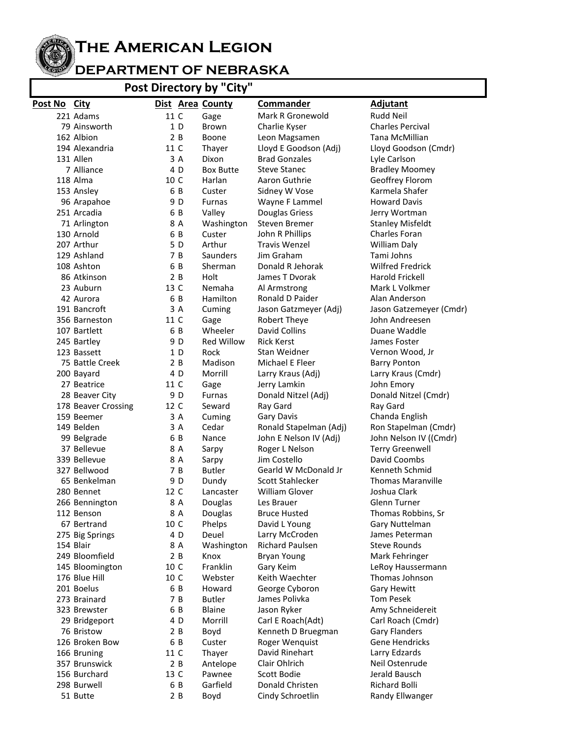

**The American Legion**

## **DEPARTMENT OF NEBRASKA**

## **Post Directory by "City"**

| Post No City |                     |      |     | Dist Area County  | <b>Commander</b>       | Adjutant                 |
|--------------|---------------------|------|-----|-------------------|------------------------|--------------------------|
|              | 221 Adams           | 11 C |     | Gage              | Mark R Gronewold       | Rudd Neil                |
|              | 79 Ainsworth        |      | 1D  | <b>Brown</b>      | Charlie Kyser          | <b>Charles Percival</b>  |
|              | 162 Albion          |      | 2B  | Boone             | Leon Magsamen          | Tana McMillian           |
|              | 194 Alexandria      | 11 C |     | Thayer            | Lloyd E Goodson (Adj)  | Lloyd Goodson (Cmdr)     |
|              | 131 Allen           |      | 3 A | Dixon             | <b>Brad Gonzales</b>   | Lyle Carlson             |
|              | 7 Alliance          |      | 4 D | <b>Box Butte</b>  | <b>Steve Stanec</b>    | <b>Bradley Moomey</b>    |
|              | 118 Alma            | 10 C |     | Harlan            | Aaron Guthrie          | Geoffrey Florom          |
|              | 153 Ansley          | 6 B  |     | Custer            | Sidney W Vose          | Karmela Shafer           |
|              | 96 Arapahoe         |      | 9 D | <b>Furnas</b>     | Wayne F Lammel         | <b>Howard Davis</b>      |
|              | 251 Arcadia         |      | 6 B | Valley            | Douglas Griess         | Jerry Wortman            |
|              | 71 Arlington        |      | 8 A | Washington        | Steven Bremer          | <b>Stanley Misfeldt</b>  |
|              | 130 Arnold          |      | 6 B | Custer            | John R Phillips        | Charles Foran            |
|              | 207 Arthur          |      | 5 D | Arthur            | <b>Travis Wenzel</b>   | <b>William Daly</b>      |
|              | 129 Ashland         |      | 7 B | Saunders          | Jim Graham             | Tami Johns               |
|              | 108 Ashton          | 6 B  |     | Sherman           | Donald R Jehorak       | <b>Wilfred Fredrick</b>  |
|              | 86 Atkinson         |      | 2 B | Holt              | James T Dvorak         | Harold Frickell          |
|              | 23 Auburn           | 13 C |     | Nemaha            | Al Armstrong           | Mark L Volkmer           |
|              | 42 Aurora           | 6 B  |     | Hamilton          | Ronald D Paider        | Alan Anderson            |
|              | 191 Bancroft        |      | 3 A | Cuming            | Jason Gatzmeyer (Adj)  | Jason Gatzemeyer (Cmdr)  |
|              | 356 Barneston       | 11 C |     | Gage              | Robert Theye           | John Andreesen           |
|              | 107 Bartlett        | 6 B  |     | Wheeler           | David Collins          | Duane Waddle             |
|              | 245 Bartley         |      | 9 D | <b>Red Willow</b> | <b>Rick Kerst</b>      | James Foster             |
|              | 123 Bassett         |      | 1 D | Rock              | Stan Weidner           | Vernon Wood, Jr          |
|              | 75 Battle Creek     |      | 2B  | Madison           | Michael E Fleer        | <b>Barry Ponton</b>      |
|              | 200 Bayard          |      | 4 D | Morrill           | Larry Kraus (Adj)      | Larry Kraus (Cmdr)       |
|              | 27 Beatrice         | 11 C |     | Gage              | Jerry Lamkin           | John Emory               |
|              | 28 Beaver City      |      | 9 D | <b>Furnas</b>     | Donald Nitzel (Adj)    | Donald Nitzel (Cmdr)     |
|              | 178 Beaver Crossing | 12 C |     | Seward            | Ray Gard               | Ray Gard                 |
|              | 159 Beemer          |      | 3 A | Cuming            | Gary Davis             | Chanda English           |
|              | 149 Belden          |      | 3 A | Cedar             | Ronald Stapelman (Adj) | Ron Stapelman (Cmdr)     |
|              | 99 Belgrade         | 6 B  |     | Nance             | John E Nelson IV (Adj) | John Nelson IV ((Cmdr)   |
|              | 37 Bellevue         |      | 8 A | Sarpy             | Roger L Nelson         | <b>Terry Greenwell</b>   |
|              | 339 Bellevue        |      | 8 A | Sarpy             | Jim Costello           | David Coombs             |
|              | 327 Bellwood        |      | 7 B | <b>Butler</b>     | Gearld W McDonald Jr   | Kenneth Schmid           |
|              | 65 Benkelman        |      | 9 D | Dundy             | Scott Stahlecker       | <b>Thomas Maranville</b> |
|              | 280 Bennet          | 12 C |     | Lancaster         | William Glover         | Joshua Clark             |
|              | 266 Bennington      |      | 8 A | Douglas           | Les Brauer             | Glenn Turner             |
|              | 112 Benson          |      | 8 A | Douglas           | <b>Bruce Husted</b>    | Thomas Robbins, Sr       |
|              | 67 Bertrand         | 10 C |     | Phelps            | David L Young          | Gary Nuttelman           |
|              | 275 Big Springs     |      | 4 D | Deuel             | Larry McCroden         | James Peterman           |
|              | 154 Blair           |      | 8 A | Washington        | Richard Paulsen        | <b>Steve Rounds</b>      |
|              | 249 Bloomfield      |      | 2 B | Knox              | Bryan Young            | Mark Fehringer           |
|              | 145 Bloomington     | 10 C |     | Franklin          | Gary Keim              | LeRoy Haussermann        |
|              | 176 Blue Hill       | 10 C |     | Webster           | Keith Waechter         | Thomas Johnson           |
|              | 201 Boelus          |      | 6 B | Howard            | George Cyboron         | Gary Hewitt              |
|              | 273 Brainard        |      | 7 B | <b>Butler</b>     | James Polivka          | Tom Pesek                |
|              | 323 Brewster        |      | 6 B | Blaine            | Jason Ryker            | Amy Schneidereit         |
|              | 29 Bridgeport       |      | 4 D | Morrill           | Carl E Roach(Adt)      | Carl Roach (Cmdr)        |
|              | 76 Bristow          |      | 2 B | Boyd              | Kenneth D Bruegman     | <b>Gary Flanders</b>     |
|              | 126 Broken Bow      |      | 6 B | Custer            | Roger Wenquist         | Gene Hendricks           |
|              | 166 Bruning         | 11 C |     | Thayer            | David Rinehart         | Larry Edzards            |
|              | 357 Brunswick       |      | 2 B | Antelope          | Clair Ohlrich          | Neil Ostenrude           |
|              | 156 Burchard        | 13 C |     | Pawnee            | Scott Bodie            | Jerald Bausch            |
|              | 298 Burwell         |      | 6 B | Garfield          | Donald Christen        | <b>Richard Bolli</b>     |
|              | 51 Butte            |      | 2 B | Boyd              | Cindy Schroetlin       | Randy Ellwanger          |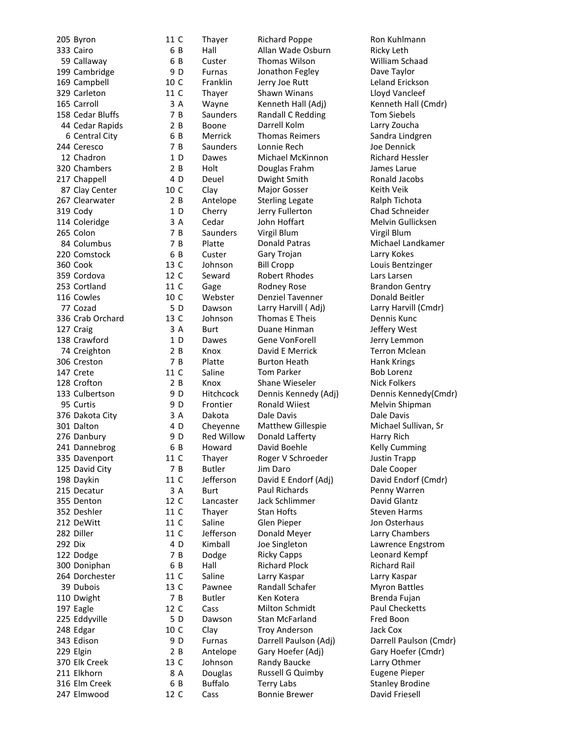205 Byron 11 C 333 Cairo 59 Callaway 199 Cambridge 169 Campbell 329 Carleton 11 C 165 Carroll 158 Cedar Bluffs 44 Cedar Rapids 6 Central City 244 Ceresco 12 Chadron 320 Chambers 217 Chappell 87 Clay Center 10 C 267 Clearwater 319 Cody 114 Coleridge 265 Colon 84 Columbus 220 Comstock 360 Cook 13 C 359 Cordova 12 C 253 Cortland 11 C 116 Cowles 10 C 77 Cozad 336 Crab Orchard 127 Craig 138 Crawford 74 Creighton 306 Creston 147 Crete 11 C 128 Crofton 133 Culbertson 95 Curtis 376 Dakota City 301 Dalton 276 Danbury 241 Dannebrog 335 Davenport 11 C 125 David City 198 Daykin 11 C 215 Decatur 355 Denton 12 C 352 Deshler 11 C 212 DeWitt 11 C 282 Diller 11 C 292 Dix 122 Dodge 300 Doniphan 264 Dorchester 11 C 39 Dubois 13 C 110 Dwight 197 Eagle 12 C 225 Eddyville 248 Edgar 10 C 343 Edison 229 Elgin 370 Elk Creek 13 C 211 Elkhorn 316 Elm Creek 247 Elmwood 12 C

Thayer Richard Poppe Ron Kuhlmann Hall Allan Wade Osburn Ricky Leth Custer Thomas Wilson William Schaad Furnas Jonathon Fegley Dave Taylor Franklin Jerry Joe Rutt Leland Erickson Thayer Shawn Winans Cloyd Vancleef Wayne Kenneth Hall (Adj) Kenneth Hall (Cmdr) Saunders Randall C Redding Tom Siebels Boone Darrell Kolm Larry Zoucha Merrick Thomas Reimers Sandra Lindgren Saunders Lonnie Rech Joe Dennick Dawes Michael McKinnon Richard Hessler Holt Douglas Frahm James Larue Deuel Dwight Smith **Ronald Jacobs** Clay Major Gosser Keith Veik Antelope Sterling Legate Ralph Tichota Cherry Jerry Fullerton Chad Schneider Cedar John Hoffart Melvin Gullicksen Saunders Virgil Blum Virgil Blum Platte Donald Patras Michael Landkamer Custer Gary Trojan Larry Kokes Johnson Bill Cropp Louis Bentzinger Seward Robert Rhodes **Lars Larsen** Gage Rodney Rose Brandon Gentry Webster Denziel Tavenner Donald Beitler Dawson Larry Harvill (Adj) Larry Harvill (Cmdr) Johnson Thomas E Theis Dennis Kunc Burt Duane Hinman Jeffery West Dawes Gene VonForell Jerry Lemmon Knox David E Merrick Terron Mclean Platte Burton Heath **Hank Krings** Saline Tom Parker Bob Lorenz Knox Shane Wieseler Nick Folkers Hitchcock Dennis Kennedy (Adj) Dennis Kennedy (Cmdr) Frontier Ronald Wiiest Melvin Shipman Dakota Dale Davis Dale Davis Cheyenne Matthew Gillespie Michael Sullivan, Sr Red Willow Donald Lafferty Harry Rich Howard David Boehle **Example 26 Kelly Cumming** Thayer Roger V Schroeder Justin Trapp Butler Jim Daro Dale Cooper Jefferson David E Endorf (Adj) David Endorf (Cmdr) Burt Paul Richards Penny Warren Lancaster Jack Schlimmer David Glantz Thayer Stan Hofts Steven Harms Saline Glen Pieper Jon Osterhaus Jefferson Donald Meyer Larry Chambers Kimball Joe Singleton Lawrence Engstrom Dodge Ricky Capps Ricky Capps Leonard Kempf Hall Richard Plock Richard Rail Saline Larry Kaspar Larry Kaspar Pawnee Randall Schafer Myron Battles Butler Ken Kotera **Brenda Fujan** Cass Milton Schmidt Paul Checketts Dawson Stan McFarland Fred Boon Clay Troy Anderson Jack Cox Furnas Darrell Paulson (Adj) Darrell Paulson (Cmdr) Antelope Gary Hoefer (Adj) Gary Hoefer (Cmdr) Johnson Randy Baucke Larry Othmer A Douglas Russell G Quimby Eugene Pieper Buffalo Terry Labs Stanley Brodine

6

6

9 D<br>10 C

3

7

2 B

6

7

1

 $2B$ 

4 D

2 B

1

3

7

7 B

6

 $\begin{array}{c} 5 \text{ D} \\ 13 \text{ C} \end{array}$ 

3

1

2 B

7 B

2 B

9 D

9<sub>D</sub>

3

4 D

9<sub>D</sub>

6

7

3

4 D

7

6

7

5

9<sub>D</sub>

2 B

8

6

Cass Bonnie Brewer David Friesell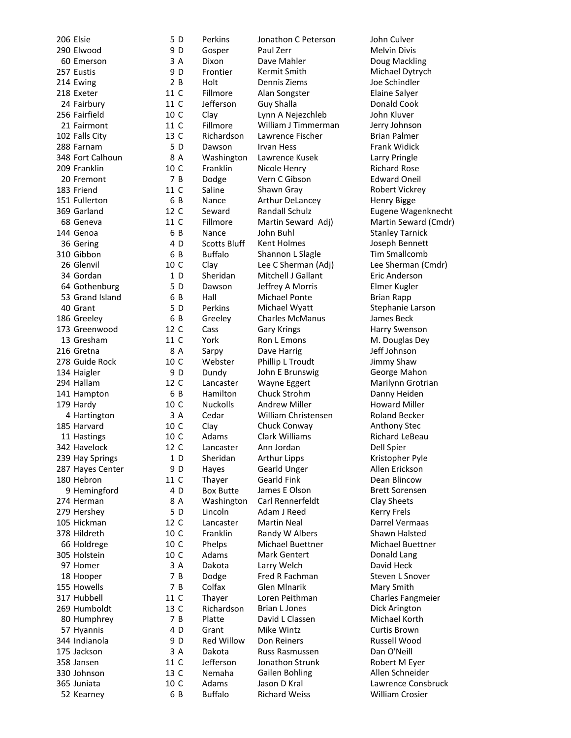206 Elsie 290 Elwood 60 Emerson 257 Eustis 214 Ewing 218 Exeter 11 C 24 Fairbury 11 C 256 Fairfield 10 C 21 Fairmont 11 C 102 Falls City 13 C 288 Farnam 348 Fort Calhoun 209 Franklin 20 Fremont 183 Friend 11 C 151 Fullerton 369 Garland 12 C 68 Geneva 11 C 144 Genoa 36 Gering 310 Gibbon 26 Glenvil 10 C 34 Gordan 64 Gothenburg 53 Grand Island 40 Grant 186 Greeley 173 Greenwood 12 C 13 Gresham 11 C 216 Gretna 278 Guide Rock 10 C 134 Haigler 294 Hallam 12 141 Hampton 179 Hardy 4 Hartington 185 Harvard 10 C 11 Hastings 10 C 342 Havelock 12 C 239 Hay Springs 287 Hayes Center 180 Hebron 11 C 9 Hemingford 274 Herman 279 Hershey 105 Hickman 378 Hildreth 10 66 Holdrege 10 C 305 Holstein 10 C 97 Homer 18 Hooper 155 Howells 317 Hubbell 11 C 269 Humboldt 13 C 80 Humphrey 57 Hyannis 344 Indianola 175 Jackson 358 Jansen 11 C 330 Johnson 13 C 365 Juniata 10 52 Kearney

5 Perkins Jonathon C Peterson John Culver  $9<sub>D</sub>$ Gosper Paul Zerr Melvin Divis 3 Dixon Dave Mahler Doug Mackling 9 D Frontier Kermit Smith Michael Dytrych 2 B B Holt Dennis Ziems Joe Schindler Fillmore Alan Songster Elaine Salyer Jefferson Guy Shalla **Donald Cook** Clay Lynn A Nejezchleb John Kluver Fillmore William J Timmerman Jerry Johnson Richardson Lawrence Fischer **Brian Palmer** 5 Dawson Irvan Hess Frank Widick  $\begin{array}{c} 8 \text{ A} \\ 10 \text{ C} \end{array}$ Washington Lawrence Kusek Larry Pringle Franklin Nicole Henry Richard Rose 7 Dodge Vern C Gibson Edward Oneil Saline Shawn Gray Shawn Gray Robert Vickrey 6 Nance Arthur DeLancey Henry Bigge Seward Randall Schulz Eugene Wagenknecht Fillmore Martin Seward Adj) Martin Seward (Cmdr) 6 Nance John Buhl Stanley Tarnick 4 D Scotts Bluff Kent Holmes Joseph Bennett 6 Buffalo Shannon L Slagle Tim Smallcomb Clay Lee C Sherman (Adj) Lee Sherman (Cmdr) 1 Sheridan Mitchell J Gallant Eric Anderson<br>Dawson Jeffrey A Morris Elmer Kugler 5 Jeffrey A Morris Elmer Kugler 6 Hall Michael Ponte Brian Rapp 5 Perkins Michael Wyatt Stephanie Larson 6 Greeley Charles McManus James Beck Cass Gary Krings **Harry Swenson** York Ron L Emons M. Douglas Dey 8 Sarpy Dave Harrig Dave Harrig Jeff Johnson Webster Phillip L Troudt Jimmy Shaw 9<sub>D</sub> Dundy John E Brunswig George Mahon Lancaster Wayne Eggert Marilynn Grotrian  $\begin{array}{c} 6 B \\ 10 C \end{array}$ Hamilton Chuck Strohm **Danny Heiden**<br>
Nuckolls Andrew Miller **Howard Miller** Andrew Miller **Howard Miller** 3 Cedar William Christensen Roland Becker Clay Chuck Conway Chay Anthony Stec Adams Clark Williams Richard LeBeau Lancaster Ann Jordan Dell Spier 1 Sheridan Arthur Lipps Kristopher Pyle 9 D Hayes Gearld Unger Allen Erickson Thaver Gearld Fink Dean Blincow 4 D Box Butte James E Olson Brett Sorensen 8 Washington Carl Rennerfeldt Clay Sheets  $\begin{array}{c} 5 \text{ D} \\ 12 \text{ C} \end{array}$ Lincoln Adam J Reed Kerry Frels Lancaster Martin Neal Darrel Vermaas Franklin Randy W Albers Shawn Halsted Phelps Michael Buettner Michael Buettner Adams Mark Gentert **Donald Lang** 3 Dakota Larry Welch David Heck 7 B Dodge Fred R Fachman Steven L Snover 7 R Colfax Glen Mlnarik Mary Smith Thayer Loren Peithman Charles Fangmeier Richardson Brian L Jones Dick Arington 7 Platte David L Classen Michael Korth 4 D Grant Mike Wintz Curtis Brown<br>
Red Willow Don Reiners Curtis Brown 9<sub>D</sub> Don Reiners **Russell Wood** 3 Dakota Russ Rasmussen Dan O'Neill Jefferson Jonathon Strunk Robert M Eyer Nemaha Gailen Bohling Memaha Gailen Bohling Allen Schneider Adams Jason D Kral Lawrence Consbruck 6 B Buffalo Richard Weiss William Crosier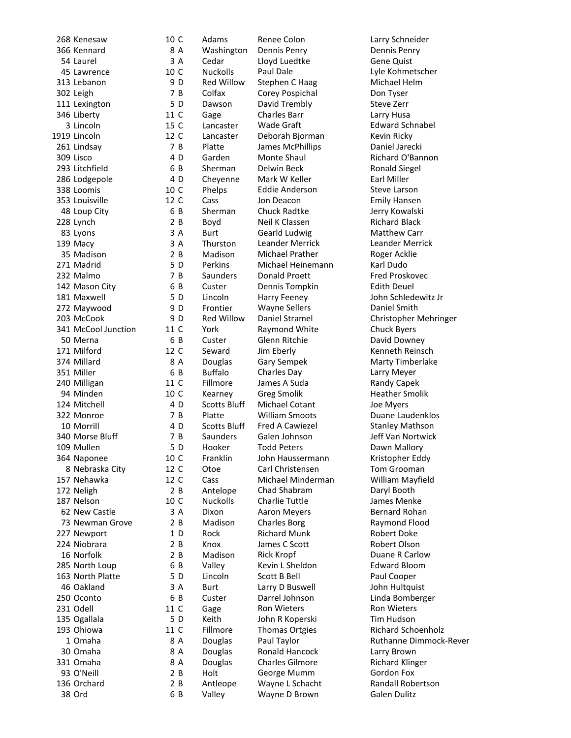|  | zo8 Kenesaw                                   |
|--|-----------------------------------------------|
|  | 366 Kennard                                   |
|  | 54 Laurel                                     |
|  | 45 Lawrence                                   |
|  | 313 Lebanon                                   |
|  |                                               |
|  | 302 Leigh                                     |
|  | 111 Lexington                                 |
|  | 346 Liberty                                   |
|  | 3 Lincoln                                     |
|  | 1919 Lincoln                                  |
|  |                                               |
|  | 261 Lindsay                                   |
|  | 309 Lisco                                     |
|  | 293 Litchfield                                |
|  | 286 Lodgepole                                 |
|  | 338 Loomis                                    |
|  | 353 Louisville                                |
|  |                                               |
|  | 48 Loup City                                  |
|  | 228 Lynch                                     |
|  | 83 Lyons                                      |
|  | 139 Macy                                      |
|  | 35 Madison                                    |
|  | 271 Madrid                                    |
|  |                                               |
|  | 232 Malmo                                     |
|  | 142 Mason City                                |
|  | 181 Maxwell                                   |
|  | 272 Maywood                                   |
|  |                                               |
|  | 203 McCook<br>341 McCool Junction<br>50 Merna |
|  |                                               |
|  | 171 Milford                                   |
|  |                                               |
|  | 374 Millard                                   |
|  | 351 Miller                                    |
|  | 240 Milligan                                  |
|  | 94 Minden                                     |
|  | 124 Mitchell                                  |
|  |                                               |
|  | 322 Monroe                                    |
|  | 10 Morrill                                    |
|  | 340 Morse Bluff                               |
|  | 109 Mullen                                    |
|  | 364 Naponee                                   |
|  | 8 Nebraska City                               |
|  | 157 Nehawka                                   |
|  | --<br>172 Neligh                              |
|  |                                               |
|  | 187 Nelson                                    |
|  | 62 New Castle                                 |
|  | 73 Newman Grove                               |
|  | 227 Newport                                   |
|  | 224 Niobrara                                  |
|  |                                               |
|  | 16 Norfolk                                    |
|  | 285 North Loup                                |
|  | 163 North Platte                              |
|  | 46 Oakland                                    |
|  | 250 Oconto                                    |
|  | 231 Odell                                     |
|  |                                               |
|  | 135 Ogallala                                  |
|  | 193 Ohiowa                                    |
|  | 1 Omaha                                       |
|  | 30 Omaha                                      |
|  | 331 Omaha                                     |
|  | 93 O'Neill                                    |
|  |                                               |
|  | 136 Orchard                                   |
|  | 38 Ord                                        |

268 Kenesaw 10 C Adams Renee Colon Larry Schneider 8 A Washington Dennis Penry **Dennis Penry Dennis Penry** 3 A Cedar Lloyd Luedtke Gene Quist 10 C Nuckolls Paul Dale Lyle Kohmetscher<br>
9 D Red Willow Stephen C Haag Michael Helm 302 T B Colfax Corey Pospichal Con Tyser<br>302 Dawson David Trembly Steve Zerr 11 Dawson David Trembly Steve Zerr<br>11 C Gage Charles Barr Starr Larry Husa 346 Liberty 11 C Gage Charles Barr Larry Husa 15 C Lancaster Wade Graft **Edward Schnabel** 12 C Lancaster Deborah Bjorman Kevin Ricky 261 Lindsay 7 B Platte James McPhillips Daniel Jarecki 4 D Garden Monte Shaul Richard O'Bannon<br>6 B Sherman Delwin Beck Ronald Siegel 4 D Cheyenne Mark W Keller Earl Miller 10 C Phelps Eddie Anderson Steve Larson<br>12 C Cass Jon Deacon Semily Hansen Cass Jon Deacon **Emily Hansen** 6 B Sherman Chuck Radtke Jerry Kowalski 2 B Boyd Neil K Classen Richard Black 3 A Burt Gearld Ludwig Matthew Carr 3 A Thurston Leander Merrick Leander Merrick 2 B Madison Michael Prather Roger Acklie 5 D Perkins Michael Heinemann Karl Dudo 232 The Saunders Bonald Proett Care Fred Proskovec<br>
232 Custer Dennis Tompkin Felith Deuel Dennis Tompkin 5 D Lincoln Harry Feeney John Schledewitz Jr 272 D Frontier Wayne Sellers Consider Smith<br>272 D Red Willow Daniel Stramel Christopher N 11 C York Raymond White Chuck Byers 50 Souster Glenn Ritchie Constant David Downey<br>12 C Seward Jim Eberly Constant Constants Reins Seward Jim Eberly **171 Million** Kenneth Reinsch 8 A Douglas Gary Sempek Marty Timberlake 6 B Buffalo Charles Day Larry Meyer 11 C Fillmore James A Suda Randy Capek 10 C Kearney Greg Smolik Heather Smolik Heather Smolik Heather Smolik Heather Smolik Heather Smolik Heather Smolik Heather Smolik Heather Smolik Heather Smolik Heather Smolik Heather Smolik Heather Smolik Heather Smolik He Michael Cotant Joe Myers 7 B Platte William Smoots Duane Laudenklos 1 D Scotts Bluff Fred A Cawiezel Stanley Mathson<br>
2 B Saunders Galen Johnson Stanley Mathson Saunders Galen Johnson Jeff Van Nortwick 109 109 Mooker Todd Peters 109 Dawn Mallory<br>109 The Tranklin Mullen John Haussermann 10 Kristopher Edd Franklin John Haussermann Kristopher Eddy 12 C Otoe Carl Christensen Tom Grooman 12 C Cass Michael Minderman William Mayfield 2 B Antelope Chad Shabram Daryl Booth 10 C Nuckolls Charlie Tuttle James Menke 3 A Dixon Aaron Meyers and Bernard Rohan<br>2 B Madison Charles Borg and Raymond Flood 1 D Rock Richard Munk Robert Doke 2 B Knox James C Scott **Robert Olson**<br>2 B Madison Rick Kropf **Rick Communist C** Duane R Carle Madison Rick Kropf Duane R Carlow 6 B Valley Kevin L Sheldon Edward Bloom 163 North Platte 5 D Lincoln Scott B Bell Paul Cooper 3 A Burt Larry D Buswell John Hultquist 6 B Custer Darrel Johnson Linda Bomberger 11 C Gage Ron Wieters Ron Wieters 135 Ogallala 5 D Keith John R Koperski Tim Hudson 11 C Fillmore Thomas Ortgies Richard Schoenholz 8 A Douglas Paul Taylor **Ruthanne Dimmock-Rever** 8 A Douglas Ronald Hancock Larry Brown 3.4 Douglas Charles Gilmore Richard Klinger<br>2.8 Holt George Mumm Gordon Fox Holt George Mumm Gordon Fox 2 B Antleope Wayne L Schacht Randall Robertson<br>6 B Valley Wayne D Brown Galen Dulitz 38 Ord 6 B Valley Wayne D Brown Galen Dulitz

Stephen C Haag Michael Helm Ronald Siegel Christopher Mehringer 73 Newman Grove 2 B Madison Charles Borg Raymond Flood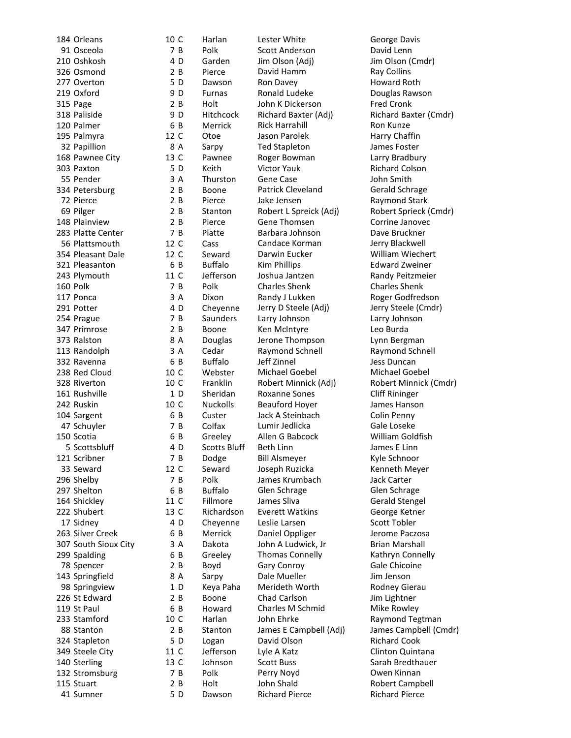| 184 Orleans          | 10 C | Harlan              | Lester White           | George Davis          |
|----------------------|------|---------------------|------------------------|-----------------------|
| 91 Osceola           | 7 B  | Polk                | Scott Anderson         | David Lenn            |
| 210 Oshkosh          | 4 D  | Garden              | Jim Olson (Adj)        | Jim Olson (Cmo        |
| 326 Osmond           | 2 B  | Pierce              | David Hamm             | Ray Collins           |
| 277 Overton          | 5 D  | Dawson              | Ron Davey              | Howard Roth           |
| 219 Oxford           | 9 D  | <b>Furnas</b>       | Ronald Ludeke          | Douglas Rawsc         |
| 315 Page             | 2B   | Holt                | John K Dickerson       | <b>Fred Cronk</b>     |
| 318 Paliside         | 9 D  | Hitchcock           | Richard Baxter (Adj)   | <b>Richard Baxter</b> |
| 120 Palmer           | 6 B  | Merrick             | <b>Rick Harrahill</b>  | Ron Kunze             |
| 195 Palmyra          | 12 C | Otoe                | Jason Parolek          | Harry Chaffin         |
| 32 Papillion         | 8 A  | Sarpy               | <b>Ted Stapleton</b>   | James Foster          |
| 168 Pawnee City      | 13 C | Pawnee              | Roger Bowman           | Larry Bradbury        |
| 303 Paxton           | 5 D  | Keith               | <b>Victor Yauk</b>     | <b>Richard Colson</b> |
| 55 Pender            | 3 A  | Thurston            | Gene Case              | John Smith            |
| 334 Petersburg       | 2 B  | Boone               | Patrick Cleveland      | Gerald Schrage        |
| 72 Pierce            | 2 B  | Pierce              | Jake Jensen            | Raymond Starl         |
| 69 Pilger            | 2B   | Stanton             | Robert L Spreick (Adj) | <b>Robert Sprieck</b> |
| 148 Plainview        | 2 B  | Pierce              | Gene Thomsen           | Corrine Janove        |
| 283 Platte Center    | 7 B  | Platte              | Barbara Johnson        | Dave Bruckner         |
| 56 Plattsmouth       | 12 C | Cass                | Candace Korman         | Jerry Blackwell       |
| 354 Pleasant Dale    | 12 C | Seward              | Darwin Eucker          | William Wiech         |
|                      |      | <b>Buffalo</b>      |                        | <b>Edward Zweine</b>  |
| 321 Pleasanton       | 6 B  |                     | <b>Kim Phillips</b>    |                       |
| 243 Plymouth         | 11 C | Jefferson           | Joshua Jantzen         | Randy Peitzme         |
| 160 Polk             | 7 B  | Polk                | <b>Charles Shenk</b>   | Charles Shenk         |
| 117 Ponca            | 3A   | Dixon               | Randy J Lukken         | Roger Godfred         |
| 291 Potter           | 4 D  | Cheyenne            | Jerry D Steele (Adj)   | Jerry Steele (Cr      |
| 254 Prague           | 7 B  | Saunders            | Larry Johnson          | Larry Johnson         |
| 347 Primrose         | 2 B  | Boone               | Ken McIntyre           | Leo Burda             |
| 373 Ralston          | 8 A  | Douglas             | Jerone Thompson        | Lynn Bergman          |
| 113 Randolph         | 3 A  | Cedar               | Raymond Schnell        | Raymond Schn          |
| 332 Ravenna          | 6 B  | <b>Buffalo</b>      | Jeff Zinnel            | Jess Duncan           |
| 238 Red Cloud        | 10 C | Webster             | Michael Goebel         | Michael Goebe         |
| 328 Riverton         | 10 C | Franklin            | Robert Minnick (Adj)   | <b>Robert Minnicl</b> |
| 161 Rushville        | 1D   | Sheridan            | <b>Roxanne Sones</b>   | Cliff Rininger        |
| 242 Ruskin           | 10 C | <b>Nuckolls</b>     | <b>Beauford Hoyer</b>  | James Hanson          |
| 104 Sargent          | 6 B  | Custer              | Jack A Steinbach       | Colin Penny           |
| 47 Schuyler          | 7 B  | Colfax              | Lumir Jedlicka         | Gale Loseke           |
| 150 Scotia           | 6 B  | Greeley             | Allen G Babcock        | William Goldfis       |
| 5 Scottsbluff        | 4 D  | <b>Scotts Bluff</b> | <b>Beth Linn</b>       | James E Linn          |
| 121 Scribner         | 7 B  | Dodge               | <b>Bill Alsmeyer</b>   | Kyle Schnoor          |
| 33 Seward            | 12 C | Seward              | Joseph Ruzicka         | <b>Kenneth Meye</b>   |
| 296 Shelby           | 7 B  | Polk                | James Krumbach         | Jack Carter           |
| 297 Shelton          | 6 B  | <b>Buffalo</b>      | Glen Schrage           | Glen Schrage          |
| 164 Shickley         | 11 C | Fillmore            | James Sliva            | <b>Gerald Stengel</b> |
| 222 Shubert          | 13 C | Richardson          | <b>Everett Watkins</b> | George Ketner         |
| 17 Sidney            | 4 D  | Cheyenne            | Leslie Larsen          | Scott Tobler          |
| 263 Silver Creek     | 6 B  | Merrick             | Daniel Oppliger        | Jerome Paczos         |
| 307 South Sioux City | 3 A  | Dakota              | John A Ludwick, Jr     | <b>Brian Marshall</b> |
|                      |      |                     |                        | Kathryn Conne         |
| 299 Spalding         | 6 B  | Greeley             | <b>Thomas Connelly</b> | Gale Chicoine         |
| 78 Spencer           | 2 B  | Boyd                | Gary Conroy            |                       |
| 143 Springfield      | 8 A  | Sarpy               | Dale Mueller           | Jim Jenson            |
| 98 Springview        | 1 D  | Keya Paha           | Merideth Worth         | <b>Rodney Gierau</b>  |
| 226 St Edward        | 2 B  | Boone               | Chad Carlson           | Jim Lightner          |
| 119 St Paul          | 6 B  | Howard              | Charles M Schmid       | Mike Rowley           |
| 233 Stamford         | 10 C | Harlan              | John Ehrke             | <b>Raymond Tegt</b>   |
| 88 Stanton           | 2 B  | Stanton             | James E Campbell (Adj) | James Campbe          |
| 324 Stapleton        | 5 D  | Logan               | David Olson            | <b>Richard Cook</b>   |
| 349 Steele City      | 11 C | Jefferson           | Lyle A Katz            | Clinton Quinta        |
| 140 Sterling         | 13 C | Johnson             | <b>Scott Buss</b>      | Sarah Bredtha         |
| 132 Stromsburg       | 7 B  | Polk                | Perry Noyd             | Owen Kinnan           |
| 115 Stuart           | 2 B  | Holt                | John Shald             | Robert Campb          |
| 41 Sumner            | 5 D  | Dawson              | <b>Richard Pierce</b>  | <b>Richard Pierce</b> |

10 C Harlan Lester White Corpus Ceorge Davis<br>
184 Orleans Cott Anderson Corpus David Lenn 7 B Polk Scott Anderson 4 D Garden Jim Olson (Adj) Jim Olson (Cmdr) 2 B Pierce David Hamm 2 B Ray Collins<br>3 D Dawson Ron Davey 2 Howard Ro Dawson Ron Davey **Ron Howard Roth** 9 D Furnas Ronald Ludeke **Douglas Rawson** 2 B Holt John K Dickerson Fred Cronk<br>
9 D Hitchcock Richard Baxter (Adi) Richard Bax 318 Paliside 9 D Hitchcock Richard Baxter (Adj) Richard Baxter (Cmdr) 6 B Merrick Rick Harrahill Ron Kunze 12 C Otoe Jason Parolek Harry Chaffin 8 A Sarpy Ted Stapleton James Foster 13 C Pawnee Roger Bowman Larry Bradbury<br>15 D Keith Victor Yauk Larry Richard Colson 303 Paxton 5 D Keith Victor Yauk Richard Colson 3 A Thurston Gene Case John Smith 2 B Boone Patrick Cleveland Gerald Schrage<br>2 B Bierce Jake Jensen Schrage Raymond Stark Pierce Jake Jensen Raymond Stark 2 B Stanton Robert L Spreick (Adj) Robert Sprieck (Cmdr) 2 B Pierce Gene Thomsen Corrine Janovec 7 B Platte Barbara Johnson Dave Bruckner 12 C Cass Candace Korman Jerry Blackwell 12 C Seward Darwin Eucker William Wiechert 6 B Buffalo Kim Phillips **Edward Zweiner** 11 C Jefferson Joshua Jantzen Randy Peitzmeier<br>
243 Polk Charles Shenk Charles Shenk Polk Charles Shenk Charles Shenk 3 A Dixon Randy J Lukken Roger Godfredson 4 D Cheyenne Jerry D Steele (Adj) Jerry Steele (Cmdr)<br>7 B Saunders Larry Johnson Larry Johnson Saunders Larry Johnson Larry Johnson 2 B Boone Ken McIntyre Leo Burda 8 A Douglas Jerone Thompson Lynn Bergman 3 A Cedar Raymond Schnell Raymond Schnell 332 Ravenna 6 B Buffalo Jeff Zinnel Jess Duncan 10 C Webster Michael Goebel Michael Goebel 10 C Franklin Robert Minnick (Adj) Robert Minnick (Cmdr) 1 D Sheridan Roxanne Sones Cliff Rininger<br>10 C Nuckolls Beauford Hover James Hansor Beauford Hoyer James Hanson 6 B Custer Jack A Steinbach Colin Penny 7 B Colfax Lumir Jedlicka Gale Loseke<br>1994 Gale Colfax Allen G Babcock G B William Gold 150 Scotia 6 B Greeley Allen G Babcock William Goldfish 4 D Scotts Bluff Beth Linn James E Linn 12 B Dodge Bill Alsmeyer Bill Alsmeyer Kyle Schnoor<br>12 C Seward Joseph Ruzicka Kenneth Mev 296 Shelby 7 B Polk James Krumbach Jack Carter 6 B Buffalo Glen Schrage Glen Schrage 11 C Fillmore James Sliva Gerald Stengel 13 C Richardson Everett Watkins George Ketner<br>
24 D Chevenne Leslie Larsen Scott Tobler Cheyenne Leslie Larsen 6 B Merrick Daniel Oppliger Jerome Paczosa 3 A Dakota John A Ludwick, Jr Brian Marshall 6 B Greeley Thomas Connelly Kathryn Connelly 2 B Boyd Gary Conroy Gale Chicoine 8 A Sarpy Dale Mueller Jim Jenson 1 D Keya Paha Merideth Worth Rodney Gierau 2 B Boone Chad Carlson Jim Lightner 6 B Howard Charles M Schmid Mike Rowley 10 C Harlan John Ehrke Raymond Tegtman 2 B Stanton James E Campbell (Adj) James Campbell (Cmdr)<br>5 D Logan David Olson Richard Cook Logan David Olson **124 Richard Cook** 11 C Jefferson Lyle A Katz Clinton Quintana 13 C Johnson Scott Buss Sarah Bredthauer<br>
140 B Polk Perry Novd Sowen Kinnan Perry Noyd **Carlo 2 B Polyon Cowen Kinnan** 2 B Holt John Shald **B Robert Campbell** 

Joseph Ruzicka Kenneth Meyer